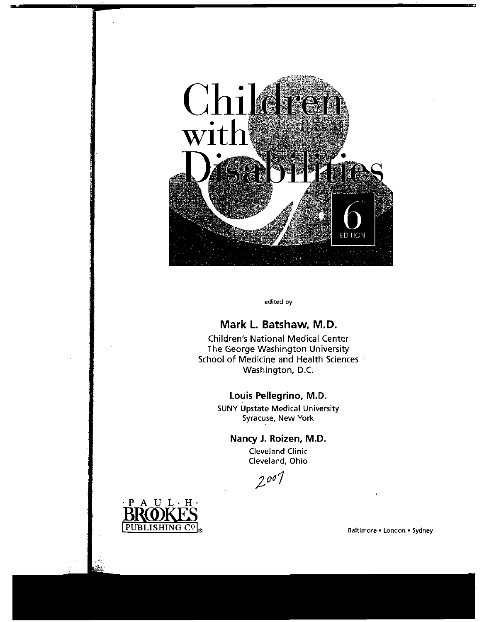

edited by

### Mark L. Batshaw, M.D.

**Children's National Medical Center** The George Washington University School of Medicine and Health Sciences Washington, D.C.

### Louis Pellegrino, M.D.

**SUNY Upstate Medical University** Syracuse, New York

## Nancy J. Roizen, M.D.

**Cleveland Clinic** Cleveland, Ohio

 $2007$ 



Baltimore . London . Sydney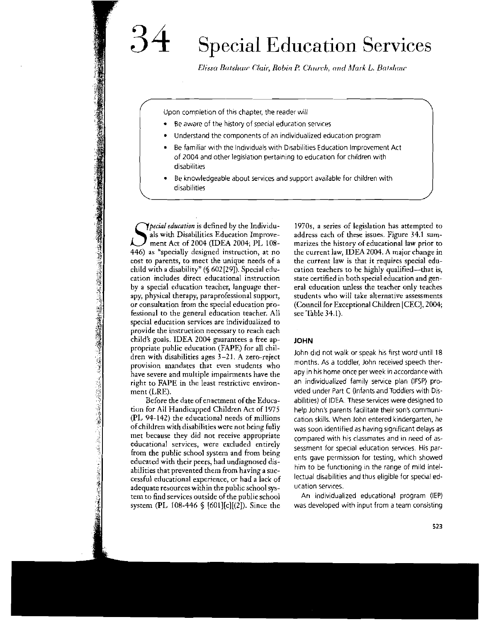# **Special Education Services**

*Elissa Batshaw Clair, Robin P. Church, and Mark L. Batshaw* 

Upon completion of this chapter, the reader will

/-

**「海岸の海岸の地域の地域の地域」** 

ا میں تاریخ عمل ا

- Be aware of the history of special education services
- Understand the components of an individualized education program
- Be familiar with the Individuals with Disabilities Education Improvement Act of 2004 and other legislation pertaining to education for children with disabilities
- Be knowledgeable about services and support available for children with disabilities

Special education is defined by the Individuals with Disabilities Education Improvement Act of 2004 (IDEA 2004; PL 108-<br>446) as "specially designed instruction, at no als with Disabilities Education Improvement Act of 2004 (IDEA 2004; PL 108 cost to parents, to meet the unique needs of a child with a disability" (§ 602[29]). Special education includes direct educational instruction by a special education teacher, language therapy, physical therapy, paraprofessional support, or consultation from the special education piofessional to the general education teacher. All special education services are individualized to provide the instruction nccesary to reach each child's goals. IDEX 2004 guarantees a free appropriate public education (FAPE) for all children with disahilities ages 3-21. A zero-reject provision mandates that even students who have severe and multiple impairments have the right to **FME** in the least restrictive environment (LRE).

Before the date of enactment of the Education for All Handicapped Children Act of 1775 (PL 94-142) the educational needs of millions of children with disahilities werc not being fully met because they did not receive appropriate educational services, were excluded entirely from the puhlic school system and from being educated with their peers, had undiagnosed disabilities that prevented them from havinga successful educational experience, or had a lack of adequate resources within the public school system to find services outside of the publicschool system (PL 108-446 5 [601][c][(2]). Since the

1970s, a series of legislation has attempted to address each of these issues. Figure 34.1 summarizes the history of educational law prior to the current law, IDEA 2004. A major change in the current law is that it requires special education teachers to be highly qualified—that is, state certified in both special education and general education unless the teacher only teaches students who will take alternative assessments (Council for Exceptional Children [CEC], 2004; see Table 34.1).

#### **JOHN**

John did not walk or speak his first word until 18 months. As a toddler, John received speech therapy in his home once per week in accordancewith an individualized family service plan (IFSP) provided under Part C (Infants andToddiers with Disabilities) of IDEA. These services were designed to help John's parents facilitate their son's communication skills. When John entered kindergarten, he was soon identified as having significant delays as compared with his classmates and in need of assessment for special education services. His parents gave permission for testing, which showed him to be functioning in the range of mild intellectual disabilities and thus eligible for special education services.

An individualized educational program (IEP) was developed with input from a team consisting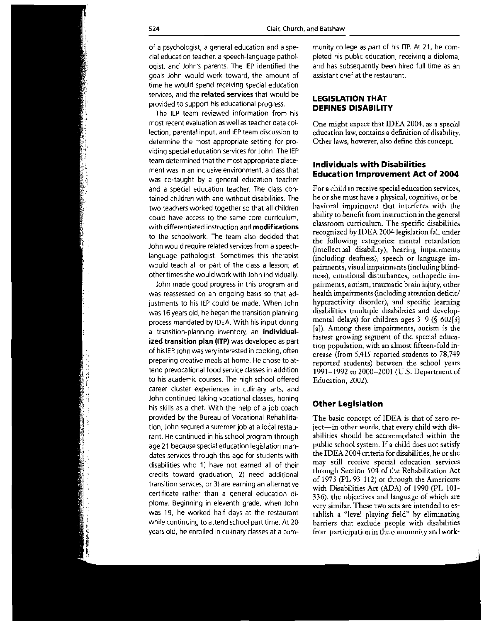cia1 education teacher, a speech-language pathol- pleted his public education, receiving a diploma, ogist, and John's parents. The IEP identified the and has subsequently been hired full time as an goals John would work toward, the amount of assistant chef at the restaurant. time he would spend receiving special education services, and the related services that would be provided to support his educational progress. **LEGISLATION THAT** 

The IEP team reviewed information from his most recent evaluation as well as teacher data col-<br>lection, parental input, and IEP team discussion to education law, contains a definition of disability. determine the most appropriate setting for pro- Other laws, however, also define this concept. viding special education services for John. The IEP team determined that the most appropriate place-<br> **Individuals with Disabilities**<br> **Education Improvement Act of 2004** was co-taught by a general education teacher and a special education teacher. The class con-<br>For a child to receive special education services, tained children with and without disabilities. The he or she must have a physical, cognitive, or betwo teachers worked together so that all children havioral impairment that interferes with the have access to the same core curriculum,<br>have access to the same core curriculum, ability to benefit from instruction in the general<br>have differentiated instruction and modifications with differentiated instruction and **modifications** classroom curriculum. The specific disabilities<br>to the schoolwerk. The team also desided that recognized by IDEA 2004 legislation fall under to the schoolwork. The team also decided that the following categories: mental retardation<br>John would require related services from a speech-<br>the following categories: mention in the following categories: mental retardatio John would require related services from a speech-<br>
language pathologist. Sometimes this therapist (including deafness), speech or language im-<br>
would teach all or part of the class a lesson; at regiments visual impairment would teach all or part of the class a lesson; at pairments, visual impairments (including blind-<br>other times she would work with John individually. Thess), emotional disturbances, orthopedic im-

was reassessed on an ongoing basis so that ad-<br>**health impairments in the many than the alternation** in the hyperactivity disorder), and specific learning justments to his IEP could be made. When John was 16 years old, he began the transition planning disabilities (multiple disabilities and develop-<br>process mandated by IDEA, With his input during mental delays) for children ages 3–9 (§ 60213) process mandated by IDEA. With his input during mental delays) for children ages  $3-9$  (§ 602[3]<br>a transition planning inventory an **individual** [a]). Among these impairments, autism is the a transition-planning inventory, an **individual-**  $\begin{bmatrix} a_{11} & A_{11} & b_{11} \\ a_{21} & a_{21} & b_{21} \\ a_{31} & a_{32} & b_{31} \\ a_{42} & a_{41} & b_{41} \\ a_{51} & a_{52} & a_{53} \\ a_{61} & a_{62} & a_{63} \\ a_{72} & a_{83} & a_{73} \\ a_{81} & a_{$ **ized transition plan (ITP)** was developed as part the special education population, with an almost fifteen-fold in-<br>of his IEP. John was very interested in cooking, often assess (from 5.415 sepected andents to 79.740) of hislef, John was very interested in cooking, often crease (from 5,415 reported students to 78,749<br>preparing creative meals at home. He chose to at-<br>tend prevocational food service classes in addition 1991–1992 to 2000–2 to his academic courses. The high school offered Education, 2002). career cluster experiences in culinary arts, and John continued taking vocational classes, honing his skills as a chef. With the help of a job coach **Other Legislation**  provided by the Bureau of Vocational Rehabilita- The basic concept of IDEA is that of zero retion, John secured a summer job at a local restau-<br> $\text{ject}$  in other words, that every child with disrant. He continued in his school program through abilities should be accommodated within the age 21 because special education legislation man-<br>dates services through this age for students with the IDEA 2004 criteria for disabilities, he or she dates services through this age for students with disabilities who have not earned all of their may still receive special education services credits toward graduation, 2) need additional through Section 504 of the Rehabilitation Act<br>of 1973 (PL 93-112) or through the Americans transition services, or 3) are earning an alternative with Disabilities Act (ADA) of 1990 (PL 101-<br>certificate rather than a general education di-<br> $\frac{1236}{1236}$  the objectives and language of which are certificate rather than a general education di-<br> $\frac{336}{2}$ , the objectives and language of which are<br>ploma. Beginning in eleventh grade, when John wery similar. These two acts are intended to sswas 19, he worked half days at the restaurant  $\frac{1}{10}$  tablish a "level playing field" by eliminating while continuing to attend school part time. At 20  $\frac{1}{10}$  barriers that exclude neonle with disabilities

of a psychologist, a general education and a spe- munity college as part of his ITP. At 21, he com-

education law, contains a definition of disability.

ness), emotional disturbances, orthopedic im-John made good progress in this program and pairments, autism, traumatic brain injury, other 1991-1992 to 2000-2001 (U.S. Department of

very similar. These two acts are intended to esbarriers that exclude people with disabilities years old, he enrolled in culinary classes at a com- from participationin thecommunityand work-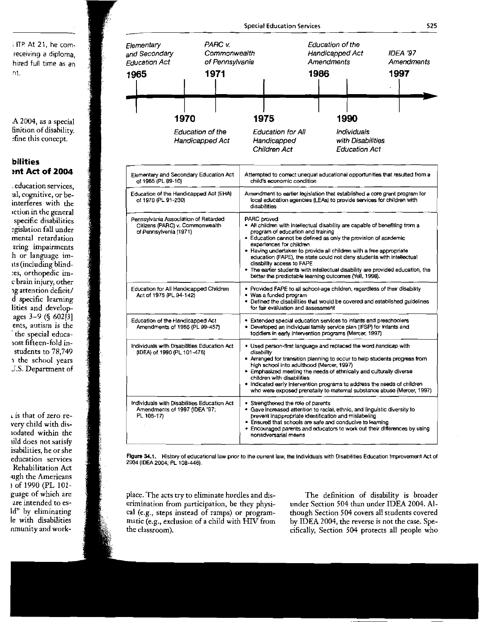#### **bilities**  ent Act of 2004

**L** is that of zero revery child with disnodated within the uld does not satisfy isabilities, he or she Rehabilitation Act ugh the Americans **<sup>1</sup>**of **1990** (PL **101**  are intended to es-Id" by eliminating le with disabilities nmunity and work-

| ITP. At 21, he com-<br>receiving a diploma.<br>hired full time as an                                                                                         | Elementary<br>and Secondary<br><b>Education Act</b><br>1965                                       | Commonwealth<br>of Pennsylvania                                                                                                                                                                                                                                                                                                                                                                                                                                       |                                                                                                                                                                                                                                                                                                                                                                                                                                                                                                                                                                  | Education of the<br>Handicapped Act<br>Amendments<br>1986                                                                                                                                                                                                    |  | <b>IDEA '97</b><br>Amenaments<br>1997                            |                                                                                                                                                           |  |  |  |
|--------------------------------------------------------------------------------------------------------------------------------------------------------------|---------------------------------------------------------------------------------------------------|-----------------------------------------------------------------------------------------------------------------------------------------------------------------------------------------------------------------------------------------------------------------------------------------------------------------------------------------------------------------------------------------------------------------------------------------------------------------------|------------------------------------------------------------------------------------------------------------------------------------------------------------------------------------------------------------------------------------------------------------------------------------------------------------------------------------------------------------------------------------------------------------------------------------------------------------------------------------------------------------------------------------------------------------------|--------------------------------------------------------------------------------------------------------------------------------------------------------------------------------------------------------------------------------------------------------------|--|------------------------------------------------------------------|-----------------------------------------------------------------------------------------------------------------------------------------------------------|--|--|--|
| A 2004, as a special<br>finition of disability.<br>efine this coneept.                                                                                       | 1970                                                                                              | <b>Education of the</b><br>Handicapped Act                                                                                                                                                                                                                                                                                                                                                                                                                            | 1975                                                                                                                                                                                                                                                                                                                                                                                                                                                                                                                                                             | <b>Education for All</b><br>Handicapped<br>Children Act                                                                                                                                                                                                      |  | 1990<br>Individuals<br>with Disabilities<br><b>Education Act</b> |                                                                                                                                                           |  |  |  |
|                                                                                                                                                              |                                                                                                   |                                                                                                                                                                                                                                                                                                                                                                                                                                                                       |                                                                                                                                                                                                                                                                                                                                                                                                                                                                                                                                                                  |                                                                                                                                                                                                                                                              |  |                                                                  |                                                                                                                                                           |  |  |  |
|                                                                                                                                                              | Elementary and Secondary Education Act<br>of 1965 (PL 89-10)                                      |                                                                                                                                                                                                                                                                                                                                                                                                                                                                       |                                                                                                                                                                                                                                                                                                                                                                                                                                                                                                                                                                  | child's economic condition                                                                                                                                                                                                                                   |  |                                                                  | Attempted to correct unequal educational opportunities that resulted from a                                                                               |  |  |  |
| education services,<br>al, cognitive, or be-<br>Education of the Handicapped Act (EHA)<br>of 1970 (PL 91-230)<br>interferes with the<br>ction in the general |                                                                                                   |                                                                                                                                                                                                                                                                                                                                                                                                                                                                       |                                                                                                                                                                                                                                                                                                                                                                                                                                                                                                                                                                  | Amendment to earlier legislation that established a core grant program for<br>local education agencies (LEAs) to provide services for children with<br>disabilities                                                                                          |  |                                                                  |                                                                                                                                                           |  |  |  |
|                                                                                                                                                              | Pennsylvania Association of Retarded<br>Citizens (FARC) v. Commonwealth<br>of Pennsylvenia (1971) |                                                                                                                                                                                                                                                                                                                                                                                                                                                                       | <b>PARC</b> proved<br>• All children with intellectual disability are capable of benefiting from a<br>program of education and training<br>· Education cannot be defined as only the provision of academic<br>experiences for children<br>. Having undertaken to provide all children with a free appropriate<br>education (FAPE), the state could not deny students with intellectual<br>disability access to FAPE<br>. The earlier students with intellectual disability are provided education, the<br>better the predictable learning outcomes (Yell, 1998). |                                                                                                                                                                                                                                                              |  |                                                                  |                                                                                                                                                           |  |  |  |
|                                                                                                                                                              | Education for All Handicapped Children<br>Act of 1975 (PL 94-142)                                 |                                                                                                                                                                                                                                                                                                                                                                                                                                                                       |                                                                                                                                                                                                                                                                                                                                                                                                                                                                                                                                                                  | ● Was a funded program<br>for fair evaluation and assessment                                                                                                                                                                                                 |  |                                                                  | • Provided FAPE to all school-age children, regardless of their disability<br>. Defined the disabilities that would be covered and established guidelines |  |  |  |
|                                                                                                                                                              | Education of the Handicapped Act<br>Amendments of 1986 (PL 99-457)                                | • Extended special education services to infants and preschoolers<br>• Developed an individual family service plan (IFSP) for infants and<br>todd/ers in early intervention programs (Mercer, 1997)                                                                                                                                                                                                                                                                   |                                                                                                                                                                                                                                                                                                                                                                                                                                                                                                                                                                  |                                                                                                                                                                                                                                                              |  |                                                                  |                                                                                                                                                           |  |  |  |
|                                                                                                                                                              | Individuals with Disabilities Education Act<br>(IDEA) of 1990 (PL 101-476)                        | • Used person-first language and replaced the word handicap with<br>disability<br>• Arranged for transition planning to occur to help students progress from<br>high school into adulthood (Mercer, 1997)<br>• Emphasized meeting the needs of ethnically and culturally diverse<br>children with disabilities<br>. Indicated early Intervention programs to address the needs of children<br>who were exposed prenatally to maternal substance abuse (Mercer, 1997). |                                                                                                                                                                                                                                                                                                                                                                                                                                                                                                                                                                  |                                                                                                                                                                                                                                                              |  |                                                                  |                                                                                                                                                           |  |  |  |
|                                                                                                                                                              | Individuals with Disabilities Education Act<br>Amendments of 1997 (IDEA '97;<br>PL 105-17)        |                                                                                                                                                                                                                                                                                                                                                                                                                                                                       |                                                                                                                                                                                                                                                                                                                                                                                                                                                                                                                                                                  | . Strengthened the role of parents<br>. Gave increased attention to racial, ethnic, and linguistic diversity to<br>prevent inappropriate identification and mislabeling<br>. Ensured that schools are safe and conducive to learning<br>nonadversarial means |  |                                                                  | • Encouraged parents and educators to work out their differences by using                                                                                 |  |  |  |
| ild does not satisfy                                                                                                                                         |                                                                                                   |                                                                                                                                                                                                                                                                                                                                                                                                                                                                       |                                                                                                                                                                                                                                                                                                                                                                                                                                                                                                                                                                  |                                                                                                                                                                                                                                                              |  |                                                                  |                                                                                                                                                           |  |  |  |

education services **1996 neume 34.1.** History of educational law prior to the current law, the Individuals with Disabilities Education Improvement Act of education **Improvement Act of** 2004 (IDEA 2004; PL 108-446).

> erimination from participation, be they physical (e.g., steps instead of ramps) or programmatic (e.g., exclusion of a child with HIV from the classroom).

guage of whieh are place. The acts try to eliminate hurdles and dis-<br>are intended to es-<br>erimination from participation, be they physi-<br>under Section 504 than under IDEA 2004. Although Section 504 covers all students covered by IDEA 2004, the reverse is not the case. Specifically, Section 504 protects all people who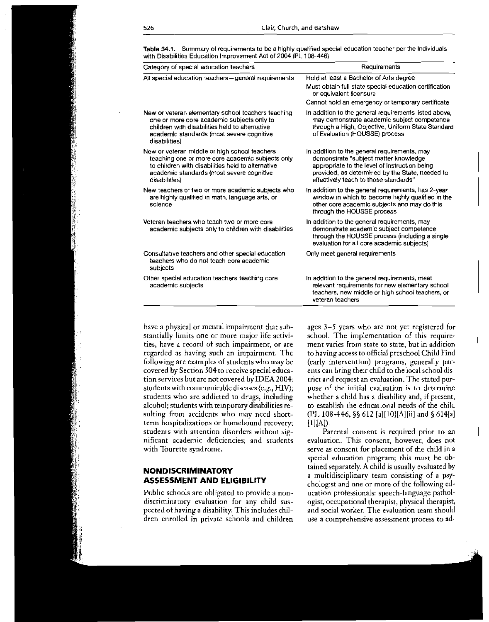Table 34.1. Summary of requirements to be a highly qualified special education teacher per the Individuals with Disabilities Education Improvement Act of 2004 (PL **108-446)** 

| Category of special education teachers                                                                                                                                                                               | Requirements                                                                                                                                                                                                                       |  |  |  |  |  |
|----------------------------------------------------------------------------------------------------------------------------------------------------------------------------------------------------------------------|------------------------------------------------------------------------------------------------------------------------------------------------------------------------------------------------------------------------------------|--|--|--|--|--|
| All special education teachers-general requirements                                                                                                                                                                  | Hold at least a Bachelor of Arts degree                                                                                                                                                                                            |  |  |  |  |  |
|                                                                                                                                                                                                                      | Must obtain full state special education certification<br>or equivalent licensure                                                                                                                                                  |  |  |  |  |  |
|                                                                                                                                                                                                                      | Cannot hold an emergency or temporary certificate                                                                                                                                                                                  |  |  |  |  |  |
| New or veteran elementary school teachers teaching<br>one or more core academic subjects only to<br>children with disabilities held to alternative<br>academic standards (most severe cognitive<br>disabilities)     | In addition to the general requirements listed above,<br>may demonstrate academic subject competence<br>through a High, Objective, Uniform State Standard<br>of Evaluation (HOUSSE) process                                        |  |  |  |  |  |
| New or veteran middle or high school teachers<br>teaching one or more core academic subjects only<br>to children with disabilities held to alternative<br>academic standards (most severe cognitive<br>disabilities) | In addition to the general requirements, may<br>demonstrate "subject matter knowledge<br>appropriate to the level of instruction being<br>provided, as determined by the State, needed to<br>effectively teach to those standards" |  |  |  |  |  |
| New teachers of two or more academic subjects who<br>are highly qualified in math, language arts, or<br>science                                                                                                      | In addition to the general requirements, has 2-year<br>window in which to become highly qualified in the<br>other core academic subjects and may do this<br>through the HOUSSE process                                             |  |  |  |  |  |
| Veteran teachers who teach two or more core<br>academic subjects only to children with disabilities                                                                                                                  | In addition to the general requirements, may<br>demonstrate academic subject competence<br>through the HOUSSE process (including a single<br>evaluation for all core academic subjects)                                            |  |  |  |  |  |
| Consultative teachers and other special education<br>teachers who do not teach core academic<br>subjects                                                                                                             | Only meet general requirements                                                                                                                                                                                                     |  |  |  |  |  |
| Other special education teachers teaching core<br>academic subjects                                                                                                                                                  | In addition to the general requirements, meet<br>relevant requirements for new elementary school<br>teachers, new middle or high school teachers, or<br>veteran teachers                                                           |  |  |  |  |  |

have a physical or mental impairment that sub-<br>ages  $3-5$  years who are not yet registered for stantially limits one or more major life activi- school. The implementation of this requireties, have a record of such impairment, or are ment varies from state to state, but in addition regarded as having such an impairment. The to having access to official preschool Child Find<br>following are examples of students who may be (early intervention) programs, generally parcovered by Sectinn 504 to receive special edua- ents can bring their child to the local school distion services but are not covered by IDEA 2004: trict and request an evaluation. The stated purstudents with communicable diseases (e.g., HIV); pose of the initial evaluation is to determine<br>students who are addicted to drugs, including whether a child has a disability and, if present, students who are addicted to drugs, including<br>alcohol; students with temporary disabilities resulting from accidents who may need short- (PL 108-446, \$9 612 [a][lO][A][ii] and **5** 614[a] term hospitalizations or homebound recovery; [1][A]).<br>students with attention disorders without sig-<br>Parental consent is required prior to an students with attention disorders without significant academic deficiencies; and students evaluation. This conscnt, however, does not with Tourette syndrome. Serve as conscnt for placement of the child in a

# **ASSESSMENT AND ELIGIBILITY**

discriminatory evaluation for any child sus-<br>
ogist, occupational therapist, physical therapist, pecred of having a disahility. This includes chil- and social worker. The evaluation team should dren enrolled in private schools and children use a comprehensive assessment process to ad-

(early intervention) programs, generally parto establish the educational needs of the child

special education program; this must be ob-**NONDISCRIMINATORY** tained separately. A child is usually evaluated by<br>**A multidisciplinary** team consisting of a psychologist and one or more of thc following ed- I Public schools are obligated to provide a non- ucation professionals: speech-language pathol-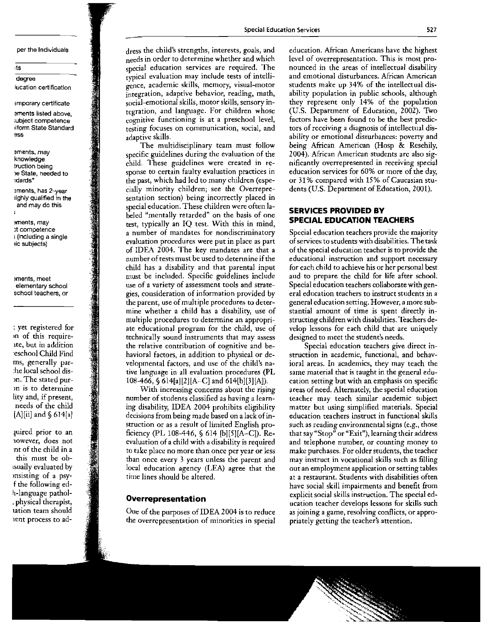### ts

degree iucation certification

?mporary certificate

ements listed above,<br>abject competence iform State Standard **9s** 

ements, may<br>knowledge truction being le State, needed to ~dards"

ements, has 2-year<br>lighly qualified in the and may do this

ernents, may ;t competence ;(including a single lic subjects)

?merits, meet elementary school school teachers, or

: yet registered for In of this require-Ite, but in addition .eschool Child Find ms, generally par- :he local school dis-In. The stated pur-In is to determine lity and, if present, needs of the child [A][ii] and  $\frac{6}{14}$ [a]

pired prior to an lowever, does not .nt of the child in a this must be oblsually evaluated by misting of a psyf the following edh-language patholphysical therapist, lation team should lent process to address the child's strengths, interests, goals, and needs in order to determine whether and which special education services are required. The typical evaluation may include tests of intelligence, academic skills, memory, visual-motor integration, adaptive behavior, reading, math, social-emotional skills, motor skills, sensory integration, and language. For children whose cognitive functioning is at a preschool level, testing focuses on communication, social, and adaptive skills.

The multidisciplinary team must follow specific guidelines during the evaluation of the child. These guidelines were created in response to certain faulty evaluation practices in the past, which had led to many children (especially minority children; see the Overrepresentation section) being incorrectly placed in special education. These children were often labeled "mentally retarded" on the basis of one test, typically an IQ test. With this in mind, a number of mandates for nondiscriminatory evaluation procedures were put in place as part of IDEA 2004. The key mandates are that a number of tests must be used to determine if the child has a disability and that parental input must be included. Specific guidelines include use of a variety of assessment tools and strategies, cousideration of information provided by the parent, use of multiple procedures to determine whether a child has a disability, use of multiple procedures to determine an appropriate educational program for the child, use of technically sound instruments that may assess the relative contribution of cognitive and behavioral factors, in addition to physical or developmental factors, and use of the child's native language in all evaluation procedures (PL 108-466, § 614[a][2][A-C] and 614[b][3][A]).

With increasing concerns about the rising number of students classified as having a learning disability, IDEA 2004 prohibits eligibility decisions from being made based on a lack of instruction or as a result of limited English proficiency (PL 108-446, § 614 [b][5][A-C]). Reevaluation of a child with a disability is required to take place no more than once per year or less than once every **3** years unless the parent and local education agency (LEA) agree that the time lines should be altered.

#### **Overrepresentation**

Oue of the purposes of IDEA 2004 is to reduce the overrepresentation of minorities in special education. African Americans have the highest level of overrepresentation. This is most pronounced in the areas of intellectual disability and emotional disturbances. African American students make up 34% of the intellectual disability population in public schools, although they represent only 14% of the population (US. Department of Education, 2002). Two factors have been found to be the best predictors of receiving a diagnosis of intellectual disability or emotional disturbances: poverty and being African American (Hosp & Resehily, 2004). African American students are also significantly overrepresented in receiving special education services for 60% or more of the day, or 31% compared with 15% of Caucasian students (U.S. Department of Education, 2001).

### **SERVICES PROVIDED BY SPECIAL EDUCATION TEACHERS**

Special education teachers provide the majority of services to students with disabilities. The task of the special education teacher is to provide the educational instruction and support necessary for each child to achieve his or her personal best aud to prepare the child for life after school. Special education teachers collaborate with general education teachers to instruct students in a general education setting. However, a more substantial amount of time is spent directly instructing children with disabilities. Teachers develop lessons for each child that are uniquely designed to meet the student's needs.

Special education teachers give direct instruction in academic, functional, and behavioral areas. In academics, they may teach the same material that is taught in the general education setting but with an emphasis on specific areas of need. Alternately, the special education teacher may teach similar academic subject matter but using simplified materials. Special education teachers instruct in functional skills such as reading environmental signs (e.g., those that say "Stop" or "Exit"), learning their address and telephone number, or counting money to make purchases. For older students, the teacher may instruct in vocational skills such as filling out an employment application or setting tables at a restaurant. Students with disabilities often have social skill impairments and benefit from explicit social skills instruction. The special education teacher develops lessons for skills such as joining a game, resolving conflicts, or appropriately getting the teacher's attention.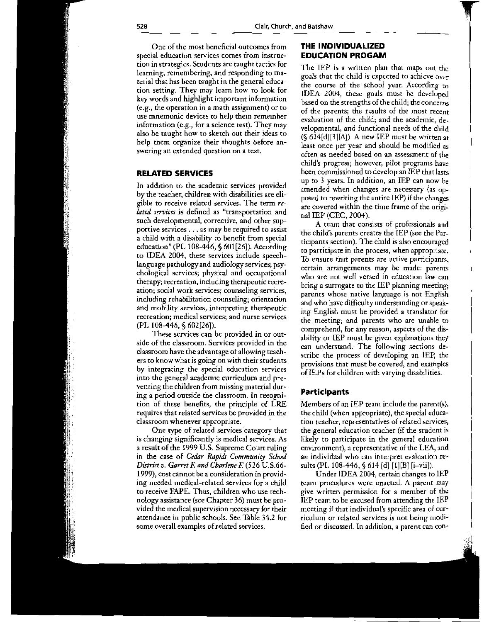One of the most beneficial outcomes from **THE INDIVIDUALIZED** is education services comes from instruc-<br>**EDUCATION PROGAM** special education services comes from instruction in strategies. Students are taught tactics for tion in strategies. Students are taught tactics for<br>learning, remembering, and responding to ma-<br>terial that has been taught in the general educa-<br>tion setting. They may learn how to look for<br>IDEA 2004, these goals must be key words and highlight important information<br>(e.g., the operation in a math assignment) or to<br>use mnemonic devices to help them remember<br>evaluation of the child; and the academic, de-

are covered within the time frame of the origi-<br>
lated services is defined as "transportation and<br>
such developmental, corrective, and other sup-<br>
portive services ... as may be required to assist<br>
a child with a disabilit certain arrangements may be made: parents<br>thological services; physical and occupational<br>therapy; recreation, including therapeutic recre-<br>ation; social work services; counseling services,<br>including rehabilitation counseli

compared in or out-<br>side of the classroom. Services provided in the<br>classroom have the advantage of allowing teach-<br>casting the process of developing on IED the crassroom have the advantage of anowing teach-<br>ers to know what is going on with their students<br>by integrating the special education services<br>into the general academic curriculum and preventing the children from missing material during a period outside the classroom. In reeognition of these benefits, the principle of LRE Members of an IEP team include the parent(s),

is changing significantly is medical services. As likely to participate in the general education a result of the 1999 U.S. Supreme Court ruling environment), a representative of the LEA, and in the case of **Cehr** *Rapidc* **Cmnmunity** *School* an individual who can interpret evaluation re-*District v. Garret F. and Charlene F.* (526 U.S.66- sults (PL 108-446, § 614 [d] [1][B] [i–vii]).<br>1999), cost cannot be a consideration in provid- Under IDEA 2004, certain changes to IEP 1999), cost cannot be a consideration in provid-<br>
ing needed medical-related services for a child to receive FAPE. Thus, children who use tech- give written permission for a member of the nology assistance (sce Chapter 36) must be pro- $\qquad$  IEP team to be excused from attending the IEP vided the medical supervision necessary for their meeting if that individual's specific area of curattendance in public schools. See Table 34.2 for riculum or related services is not being modi-

use mnemonic devices to help them remember<br>information (e.g., for a science test). They may<br>also be taught how to sketch out their ideas to<br>help them organize their thoughts before an-<br>swering an extended question on a tes child's progress; however, pilot programs have **RELATED SERVICES** been commissioned to develop an IEP that lasts<br>
up to 3 years. In addition, an IEP can now be In addition to the academic services provided<br>by the teacher, children with disabilities are eli-<br>gible to receive related services. The term  $re$ -<br>gible to receive related services. The term  $re$ -<br>lated services is defined

recreation; medical services; and nurse services<br>
(PL 108-446, § 602[26]).<br>
These services can be provided in or out-<br>
the meeting; and parents who are unable to<br>
the meeting for any reason, aspects of the dis-

#### **Participants**

requires that related services be provided in the the child (when appropriate), the special educa-<br>classroom whenever appropriate. the the theory is the related services, room whenever appropriate. tion teacher, representatives of related services,<br>One type of related services category that the general education teacher (if the student is the general education teacher (if the student is

i

team procedures were enacted. A parent may some overall examples of related services. fied or discussed. In addition, a parent can con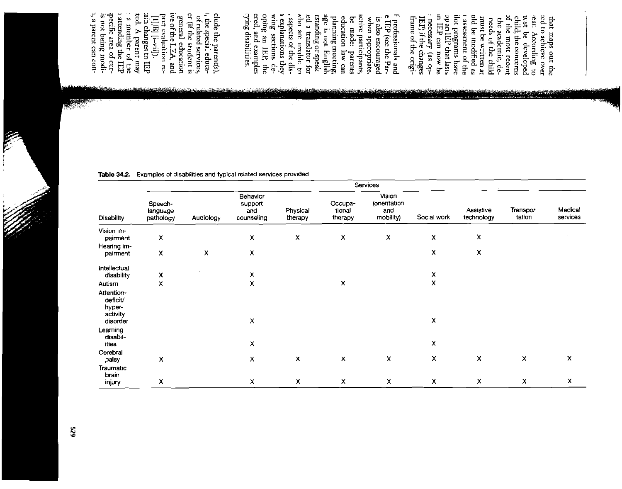clude the parent(s), oping an IEP, the<br>ered, and examples rying disabilities. **explanations** they , aspects of the diswho are unable to f professionals and<br>e IEP (see the Parclude the parent(s), oping an IEP, the wing sections wing sections de- , aspects of the dis who are unahle to ed a translator for ed a translator for rstanding or speakage is not English education law can active participants, active participants, frame of the origirstanding or speakage is not English planning meeting, be made: parents e IEP (see the Par f professionals and planning meeting; education law can i when appropriate. is also encouraged be made: parents when appropriate. is also encouraged explanations they qe-

<u> 1998 - Salantina Kidula</u>

that maps out the :ed to achieve over rear. According to lust be developed

that maps out the

red to achieve over

child; the concerns >f the most recent the academic, deneeds of the child must be written at

child; the concerns

rear. According to<br>rust be developed

فقنقد فالمتعدد فتنفذ

of the most recent

uld be modified as i assessment of the assessment of the ilot programs have Dpan IEP that lasts ~n LEP can now be

فتتحدث كالخنا

uld be modified as

must be written at needs of the child the academic, de-

ilot programs have<br>op an IEP that lasts

 $: \text{ necessary}$  (as op-IEP) if the changes n IEP can now be

متفقيقة كيوت

تعلقتها مقلصد

| Table 34.2. Examples of disabilities and typical related services provided |
|----------------------------------------------------------------------------|
|                                                                            |

I, the special educaof related services, er (if the student **is**  general education

1, the special educa-

of related services,

ive of the LEA, and

pret evaluation re-

[1] $B$ ]  $[i-vi]$ ].

ive of the LEA, and

general education

er (if the student is

**1** attending the IEP ipecific area of curis not being modi-1, a parent can con-

: a member of the ted. A parent may

zin changes to IEP

1 attending the IEP

pecific area of cur-

is not being modi-

1, a parent can con-

POSTAGE OF

**PERSONAL** 

| <b>Disability</b>                                        | Services                         |                    |                                          |                     |                              |                                            |                    |                                |                     |                     |  |
|----------------------------------------------------------|----------------------------------|--------------------|------------------------------------------|---------------------|------------------------------|--------------------------------------------|--------------------|--------------------------------|---------------------|---------------------|--|
|                                                          | Speech-<br>language<br>pathology | Audiology          | Behavior<br>support<br>and<br>counseling | Physica!<br>therapy | Occupa-<br>tional<br>therapy | Vision<br>(orientation<br>and<br>mobility) | Social work        | <b>Assistive</b><br>technology | Transpor-<br>tation | Medical<br>services |  |
| Vision im-<br>pairment                                   | χ                                |                    | x                                        | X                   | $\pmb{\times}$               | $\pmb{\times}$                             | $\pmb{\times}$     | X                              |                     |                     |  |
| Hearing im-<br>pairment                                  | x                                | $\pmb{\mathsf{x}}$ | x                                        |                     |                              |                                            | $\pmb{\times}$     | x                              |                     |                     |  |
| intellectual<br>disability                               | X                                |                    | X                                        |                     |                              |                                            | $\pmb{\times}$     |                                |                     |                     |  |
| Autism                                                   | X                                |                    | x                                        |                     | x                            |                                            | $\pmb{\times}$     |                                |                     |                     |  |
| Attention-<br>deficit/<br>hyper-<br>activity<br>disorder |                                  |                    | ×                                        |                     |                              |                                            | x                  |                                |                     |                     |  |
| Learning<br>disabil-<br>ities                            |                                  |                    | ×                                        |                     |                              |                                            | X                  |                                |                     |                     |  |
| Cerebral                                                 |                                  |                    |                                          |                     |                              |                                            |                    |                                |                     |                     |  |
| palsy                                                    | x                                |                    | $\pmb{\times}$                           | x                   | $\mathsf X$                  | $\pmb{\mathsf{x}}$                         | $\pmb{\mathsf{x}}$ | x                              | $\pmb{\times}$      | X                   |  |
| Traumatic<br>brain                                       |                                  |                    |                                          |                     |                              |                                            |                    |                                |                     |                     |  |
| injury                                                   | X                                |                    | x                                        | х                   | X                            | X                                          | $\pmb{\times}$     | $\pmb{\times}$                 | X                   | X                   |  |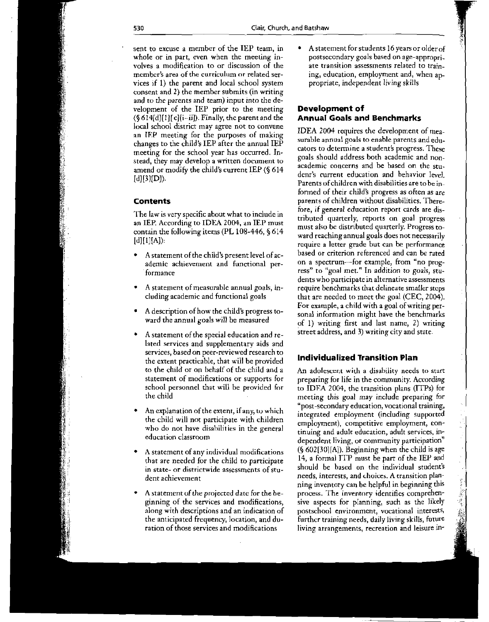whole or in part, even when the meeting in-<br>volves a modification to or discussion of the ate transition assessments related to trainvolves a modification to or discussion of the member's area of the curriculum or related services if 1) the parent and local school system consent and **2)** the member submits (in writing and to the parents and team) input into the development of the IEP prior to the meeting **Development of**  $(\$614[d][1][c][i-i])$ . Finally, the parent and the **Annual Goals and Benchmarks** (§614[d][1][c][i-ii]). Finally, the parent and the local school district may agree not to convene local school district may agree not to convene IDEA 2004 requires the development of mea-<br>an IEP meeting for the purposes of making changes to the child's IEP after the annual IEP meeting for the school year has occurred. Instead, they may develop a written document to amend or modify the child's current IEP (§ 614  $[d][3][D]).$ 

#### **Contents**

The law is very specific about what to include in an IEP. According to IDEA 2004, an IEP must contain the following items (PL 108-446,  $\S$  614  $[d][1][A])$ :

- A statement of the child's present level of academic achievement and functional performance
- **A** statement of measurable annual goals, in- require benchmarks hat delineate smaller stcps
- 
- A statement of the special education and related services and supplementary aids and<br>services, based on peer-reviewed research to the extent practicable, that will be provided to the child or on behalf of the child and a statement of modifications or supports for school personnel that will be provided for the child
- 
- in state- or districtwide assessments of stu-<br>dent achievement
- along with descriptions and an indication of

sent to excuse a member of the IEP team, in  $\bullet$  A statement for students 16 years or older of whole or in part, even when the meeting in-<br>postsecondary goals based on age-appropriing, education, employment and, when ap-<br>propriate, independent living skills

surable annual goals to enable parents and educators to determine a student's progress. These goals should address both academic and nonacademic concerns and be based on the stu-<br>denr's current education and behavior level. Parents of children with disabilities are to be in-<br>formed of their child's progress as often as are parents of children without disabilities. Therefore, if general education report cards are distributed quarterly, reports on goal progress must also be distributed quarterly. Progress toward reaching annual goals does not necessarily require a letter grade but can be performance based or criterion referenced and can be rated on a spectrum-for example, from "no progress" to "goal met." In addition to goals, students who participate in alternative assessments cluding academic and functional goals that are needed to meet the goal (CEC, 2004). For example, a child with a goal of writing per-<br>Mescription of how the child's progress to-<br>ward the annual goals will be measured<br>of 1) writing first and lett name. 2) writing of 1) writing first and last name, 2) writing street address, and 3) writing city and state.

### **Individualized Transition Plan**

An adolescent with a disability needs to start preparing for life in the community. According to IDEA 2004, the transition plans (ITPs) for meeting this goal may include preparing for <sup>I</sup>"post-secondary education, vocational training, **An** extent, if to which integrated employment (including supported the child will not participate with children employment, competitive employment, con-<br>who do not have disabilities in the general employment, competitive employment, con-<br>education classroom dependent living, or community participation" A statement of any individual modifications (§ 602[30][A]). Beginning when the child is age that are needed for the child to participate 14, a formal TTP must be part of the IEP and 14, a formal  $ITP$  must be part of the IEP and should be based on the individual student's needs, interests, and choices. A transition planning inventory can be helpful in beginning this A statement of the projected date for the be-<br>
ginning of the services and modifications, sive aspects for planning, such as the likely sive aspects for planning, such as the likely postschool environment, vocational interests, the anticipated frequency, location, and du-<br>
further training needs, daily living in the same skills, future<br>
ration of those services and modifications<br>
living arrangements, recreation and leisure inliving arrangements, recreation and leisure in-

>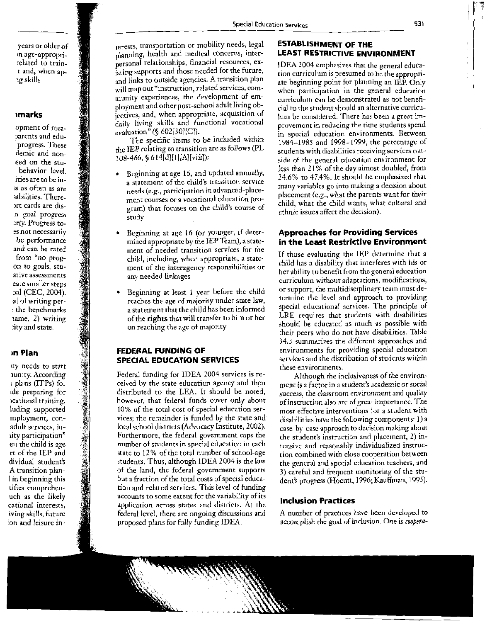years or older of in age-approprirelated to traint and, when ap-1g skills

#### **imarks**

opment of meaparents and eduprogress. These demic and nonised on the stubehavior level. ities are to be inis as often as are sabilities. Thereort cards are disn goal progress erly. Progress toes not necessarily be performance and can be rated from "no progon to goals, stuative assessments eate smaller steps oal (CEC, 2004). al of writing per-: the benchmarks name, 2) writing tity and state.

### n Plan

ity needs to start nunity. According uplans (TTPs) for ide preparing for ocational training, luding supported mployment, conadult services, insity participation" en the child is age rt of the IEP and dividual student's A transition plan-I in beginning this tifies comprehenuch as the likely cational interests, iving skills, future ion and leisure in-

terests, transportation or mobility needs, legal planning, health and medical concerns, interpersonal relationships, financial resources, existing supports and those needed for the future, and links to outside agencies. A transition plan will map out "instruction, related services, community experiences, the development of employment and other post-school adult living objectives, and, when appropriate, acquisition of daily living skills and functional vocational evaluation" (§ 602[30] $[C]$ ).

The specific items to be included within the IEP relating to transition are as follows (PL  $108-466,$  § 614[d][1][A][viii]):

- Beginning at age 16, and updated annually, a statement of the child's transition service needs (e.g., participation in advanced-placement courses or a vocational education program) that focuses on the child's course of study
- Beginning at age 16 (or younger, if determined appropriate by the IEP Team), a statement of needed transition services for the child, including, when appropriate, a statement of the interagency responsibilities or any needed linkages
- Beginning at least 1 year before the child reaches the age of majority under state law, a statement that the child has been informed of the rights that will transfer to him or her on reaching the age of majority

#### **FEDERAL FUNDING OF** SPECIAL EDUCATION SERVICES

Federal funding for IDEA 2004 services is received by the state education agency and then distributed to the LEA. It should be noted, however, that federal funds cover only about 10% of the total cost of special education services; the remainder is funded by the state and local school districts (Advocacy Institute, 2002). Furthermore, the federal government caps the number of students in special education in each state to 12% of the total number of school-age students. Thus, although IDEA 2004 is the law of the land, the federal government supports but a fraction of the total costs of special education and related services. This level of funding accounts to some extent for the variability of its application across states and districts. At the federal level, there are ongoing discussions and proposed plans for fully funding IDEA.

### **ESTABLISHMENT OF THE** LEAST RESTRICTIVE ENVIRONMENT

IDEA 2004 emphasizes that the general education curriculum is presumed to be the appropriate beginning point for planning an IEP. Only when participation in the general education curriculum can be demonstrated as not beneficial to the student should an alternative curriculum be considered. There has been a great improvement in reducing the time students spend in special education environments. Between 1984-1985 and 1998-1999, the percentage of students with disabilities receiving services outside of the general education environment for less than 21% of the day almost doubled, from 24.6% to 47.4%. It should be emphasized that many variables go into making a decision about placement (e.g., what the parents want for their child, what the child wants, what cultural and ethnic issues affect the decision).

### **Approaches for Providing Services** in the Least Restrictive Environment

If those evaluating the IEP determine that a child has a disability that interferes with his or her ability to benefit from the general education curriculum without adaptations, modifications, or support, the multidisciplinary team must determine the level and approach to providing special educational services. The principle of LRE requires that students with disabilities should be educated as much as possible with their peers who do not have disabilities. Table 34.3 summarizes the different approaches and environments for providing special education services and the distribution of students within these environments.

Although the inclusiveness of the environment is a factor in a student's academic or social success, the classroom environment and quality of instruction also are of greatimportance. The most effective interventions for a student with disabilities have the following components: 1) a case-by-case approach to decision making about the student's instruction and placement, 2) intensive and reasonably individualized instruction combined with close cooperation between the general and special education teachers, and 3) careful and frequent monitoring of the student's progress (Hocutt, 1996; Kauffman, 1995).

### **Inclusion Practices**

A number of practices have been developed to accomplish the goal of inclusion. One is coopera-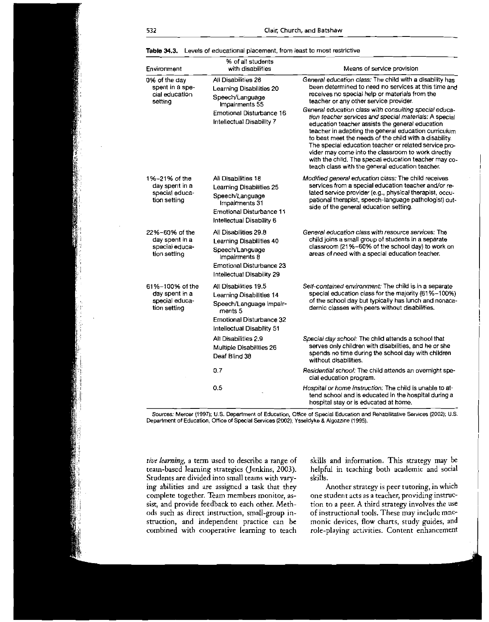| Environment                                                         | % of all students<br>with disabilities                                                                                                                   | Means of service provision<br>General education class: The child with a disability has<br>been determined to need no services at this time and<br>receives no special help or materials from the<br>teacher or any other service provider.<br>General education class with consulting special educa-<br>tion teacher services and special materials: A special<br>education teacher assists the general education<br>teacher in adapting the general education curriculum<br>to best meet the needs of the child with a disability.<br>The special education teacher or related service pro-<br>vider may come into the classroom to work directly<br>with the child. The special education teacher may co-<br>teach class with the general education teacher. |  |  |  |  |  |
|---------------------------------------------------------------------|----------------------------------------------------------------------------------------------------------------------------------------------------------|----------------------------------------------------------------------------------------------------------------------------------------------------------------------------------------------------------------------------------------------------------------------------------------------------------------------------------------------------------------------------------------------------------------------------------------------------------------------------------------------------------------------------------------------------------------------------------------------------------------------------------------------------------------------------------------------------------------------------------------------------------------|--|--|--|--|--|
| 0% of the day<br>spent in a spe-<br>cial education<br>setting       | All Disabilities 28<br>Learning Disabilities 20<br>Speech/Language<br>Impairments 55<br><b>Emotional Disturbance 16</b><br>Intellectual Disability 7     |                                                                                                                                                                                                                                                                                                                                                                                                                                                                                                                                                                                                                                                                                                                                                                |  |  |  |  |  |
| 1%-21% of the<br>day spent in a<br>special educa-<br>tion setting   | All Disabilities 18<br>Learning Disabilities 25<br>Speech/Language<br>Impairments 31<br>Ernotional Disturbance 11<br>Intellectual Disability 6           | Modified general education class: The child receives<br>services from a special education teacher and/or re-<br>lated service provider (e.g., physical therapist, occu-<br>pational therapist, speech-language pathologist) out-<br>side of the general education setting.                                                                                                                                                                                                                                                                                                                                                                                                                                                                                     |  |  |  |  |  |
| 22%-60% of the<br>day spent in a<br>special educa-<br>tion setting  | All Disabilities 29.8<br>Learning Disabilities 40<br>Speech/Language<br>Impairments 8<br>Emotional Disturbance 23<br>Intellectual Disability 29          | General education class with resource services: The<br>child joins a small group of students in a separate<br>classroom (21%-60% of the school day) to work on<br>areas of need with a special education teacher.                                                                                                                                                                                                                                                                                                                                                                                                                                                                                                                                              |  |  |  |  |  |
| 61%-100% of the<br>day spent in a<br>special educa-<br>tion setting | All Disabilities 19.5<br>Learning Disabilities 14<br>Speech/Language Impair-<br>ments 5<br><b>Emotional Disturbance 32</b><br>Intellectual Disability 51 | Self-contained environment: The child is in a separate<br>special education class for the majority (61%-100%)<br>of the school day but typically has lunch and nonaca-<br>dernic classes with peers without disabilities.                                                                                                                                                                                                                                                                                                                                                                                                                                                                                                                                      |  |  |  |  |  |
|                                                                     | All Disabilities 2.9<br>Multiple Disabilities 26<br>Deaf Blind 38                                                                                        | Special day school: The child attends a school that<br>serves only children with disabilities, and he or she<br>spends no time during the school day with children<br>without disabilities.                                                                                                                                                                                                                                                                                                                                                                                                                                                                                                                                                                    |  |  |  |  |  |
|                                                                     | 0.7                                                                                                                                                      | Residential school: The child attends an overnight spe-<br>cial education program.                                                                                                                                                                                                                                                                                                                                                                                                                                                                                                                                                                                                                                                                             |  |  |  |  |  |
|                                                                     | 0.5                                                                                                                                                      | Hospital or home instruction. The child is unable to at-<br>tend school and is educated in the hospital during a<br>hospital stay or is educated at home.                                                                                                                                                                                                                                                                                                                                                                                                                                                                                                                                                                                                      |  |  |  |  |  |

Table 34.3. Levels of educational placement, from least to most restrictive

**Sources:** Mercer **(1997);** U.S. Department of Education, Office **of** Special Education **and** Rehaoilitative Sewlcff **(2002);** U.S. Department of Education, Office of Special Services (2002); Ysseldyke & Algozzine (1995).

*tiup* learning, a term used to describe a range of skills and information. This strategy may **he**  team-based learning strategies (Jenkins, 2003). helpful in teaching both academic and social Students are divided into small teams with varying abilities and are assigned a task that they Another strategy is peer tutoring, in which complete together. Team members monitor, as- one student acts as a teacher, providing instrucsist, and provide feedback to each other. Meth- tion to a peer. A third strategy involves the use ods such as direct instruction, small-group in- of instructional tools. These may include mnestruction, and independent practice can be monic devices, flow charts, study guides, and combined with cooperative learning to teach role-playing activities. Content enhancement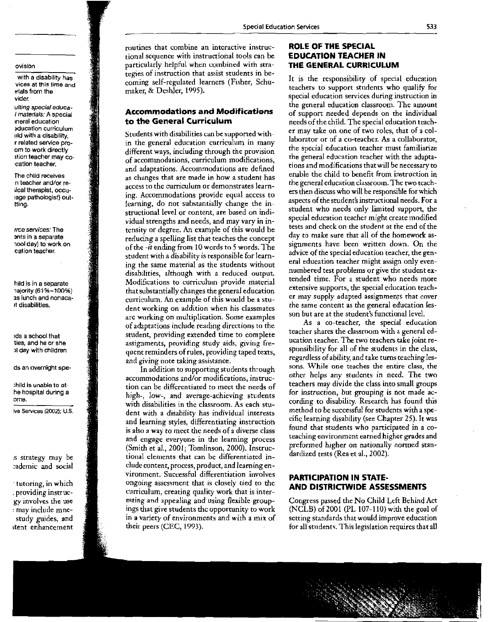#### ovision

with a disability has vices at this time and aials from the vider.

**vlting** specid educe-I maferias: **A** special lneral education aducation curriculum<br>iild with a disability. r related service pro-<br>om to work directly ation teacher may cocation teacher.

The child receives<br>n teacher and/or reiical therapist. occulage pathologist) outtting.

lrce services: The ants in a separate hool day) to work on cation teacher.

hild is in a separate<br>hajority (61%~100%) 3s lunch and nonacalt disabilities.

~ds a school that ties, and he or she 11 day with children

ds an overnight spe-

;hild is unable to at he hospital during a<br>oma.

ive Services (2002); U.S.

s strategy may be :ademic and social

tutoring, in which , providing instruc*gy* involves the use : may include mnestudy guides, and ltent enhancement

routines that combine an interactive instruc-<br> **ROLE OF THE SPECIAL**<br> **EDUCATION TEACHER IN** tional sequence with instructional tools can be **EDUCATION TEACHER IN**<br>particularly helpful when combined with stra- **THE GENERAL CURRICULUM** particularly helpful when combined with strategies of instruction that assist students in becoming self-regulated learners (Fisher, Schu-<br>maker. & Deshler, 1995).

Students with disabilities can be supported within the general education curriculum in many different ways, including through the provision of accommodations, curriculum modifications, and adaptations. Accommodations are defined as changes that are made in how a student has access to the curriculum or demonstrates learning. Accommodations provide equal access to learning, do not substantially change the instructional level or content, are based on individual strengths and needs, and may vary in intensity or degree. An example of this would be reducing a spelling list that teaches the concept of the **-it** ending from 10 words tn 5 wnrds. The student with a disability is responsible for learning the same material as the students without disabilities, although with a reduced output. Modifications to curriculum provide material that substantially changes the general education curriculum. An example of this would be a student working on addition when his classmates arc working on multiplication. Some examples of adaptations include reading directions to the student, providing extended time to complete assignments, providing study aids, giving frequent reminders of rules, providing taped texts, and giving note taking assistance.

In addition to supporting students through accommodations and/or modifications, instruction can be diffcrentiated to meet the needs of high., low-, and average-achieving students with disabilities in the classroom. As each student with a disability has individual interests and learning styles, differentiating instruction is also a way to meet the needs of a diverse class and engage everyone in the learning process (Smith et al., 2001; Tomlinson, 2000). Instructional elements that can bc differentiated include content, process, product, and learning environment. Successful differentiation involves<br>ongoing assessment that is closely tied to the<br>curriculum, creating quality work that is inter-<br>esting and appealing and using flexible group-<br>Congress passed the No Child Lef ings that give students thc opportunity to work (NCLB) of 2001 (PL 107-1 10) with the goal of in a variety of environments and with a mix of setting standards that would improve education

teachers to support students who qualify for soecial education services durine instruction in the general education classroom. The amount **Accommodations and Modifications** of support needed depends on the individual<br>**to the General Curriculum** needs of the child. The special education teachneeds of the child. The special education teacher may take on one of two roles, that of a collaborator or of a co-teacher. As a collaborator, the special education teacher must familiarize the general education teacher with the adaptations and modifications that will be necessary to enable the child to benefit from instruction in the general education classroom. The two tcachers then discuss who will be responsible for which aspects of the student's instructional needs. For a student who needs only limited support, the special education teacher might create modified tests and check on the student at the end of the day to make sure that all of the homework assignments have been written down. On the advice of the special education teacher, the general edueation teacher might assign only evennumbered test problems or give the student extended time. For a student who needs more extensive supports, the special education teacher may supply adapted assignments that cover the same content as the general education lesson hut are at the student's functional level.

As a co-teacher, the special education teacher shares the classroom with a general education teacher. The two teachers take joint responsibility for all of the students in the class, regardless of ability, and take turns teaching lessons. While one teaches the entire class, the other helps any students in need. The two teachers may divide the class into small groups for instruction, hut grouping is not made according to disability. Research has found this method to be successful for students with a specific learning disability (see Chapter 25). It was found that students who participated in a coteaching environment earned higher grades and preformed higher on nationally nomed standardized tests (Rea et al., 2002).

their peers (CEC, 1993). for all students. This legislation requires that all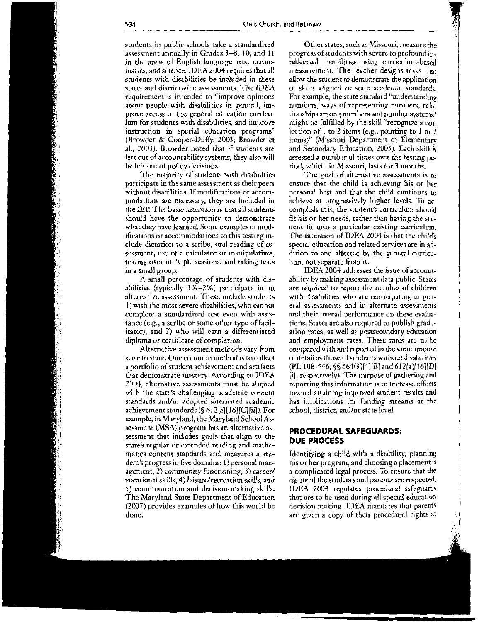students in public schools take a standardized assessment annually in Grades **3-8,** 10, and 11 in the areas of English language arts, mathematics, and science. IDEA  $2004$  requires that all students with disabilities be included in these state- and districtwide assessments. The IDEA requirement is intended to "improve opinions about people with disabilities in general, improve access to the general education curriculum for students with disabilities, and improve instruction in special education programs" (Browder & Cooper-Duffy, 2003; Browder et al., 2003). Browder noted rhat if students are left out of accountability systems, they also will be left out of policy decisions.

The majority of students with disabilities participate in the same assessment as their peers without disabilities. If modifications or accommodations are necessary, they are included in the IEP. The basic intention is thatall students should have the opportunity to demonstrate what they have learned. Some examples of modifications or accommodations to this testing include dictation to a scribe, oral reading of assessment, use of a calculator or manipulatives, testing over multiple sessions, and taking tests in a small group.

A small percentage of students with disabilities (rypically 1%-2%) participate in an alternative assessment. These include students I) with the most severe disabilities, who cannot complete a standardized test even with assistance (e.g., a scribe or some other **type** of facilitator), and 2) who will cam a differentiated diploma or certificate of completion.

Alternative assessment methods vary from state to state. One common method is to collect a portfolio of student achievement and artifacts that demonstrate mastery. According to IDEA 2004, alternative assessments must be aligned with the state's challenging academic content standards and/or adopted alternated academic achievement standards (§ 612[a][16][C][ii]). For example, inMaryland, the Maryland School **As**sessment (MSA) program has an alternative assessment that includes goals that align to the state's regular or extended reading and **mothe**matics content standards and measures a student's progressin five domains: **1)** personal management, 2) community functioning, 3) career/ vocational skills. 4) leisure/recreation skills, and 5) communication and decision-making skills. The Maryland State Department of Education (2007) provides examples of how this would be done.

Other states, such as Missouri, measure the progress of students with severe to profound in. tellectual disahilities using curriculum-based measurement. The teacher designs tasks that allow the student to demonstrate the application of skills aligned ro state academic standards. For example, the state standard "understanding numbers, ways of representing numbers, relationships among numbers and number systems" might **be** fulfilled by the skill "recognize a collection of I to **2** items (e.g., pointing to 1 or **2**  items)" (Missouri Department of Elementary and Secondary Education, 2005). Each skill is assessed a number of times over the testing period, which, in Missouri. lasts for 3 months.

The goal of alternative assessments is to ensure that the child is achieving his or her personal best and that the child continues to achieve at progressively higher levels. To accomplish this, the student's curriculum should fit his or her needs, rather **than** having the student fit into a particular existing curriculum. The intention of IDEA 2004 is that the child's special education and related services are in addition to and affected by the general curriculum, not separate from it.

IDEA 2004 addresses the issue of accountability by making assessment data public. Statcs are required to report the number of children with disabilities who are participating in general assessments and in alternate assessnlents and their overall performance on these waluations. States are also required to publish graduation rates, as well as postsecondary education and employnent rates. These rates arc to bc compared with and reported in the same amount of detail as those of students without disabilities (PL 108-446, §§ 664[3][4][B] and 612[a][16][D] [i], respectively). The purpose of gathering and reporting this information is to increase efforts toward attaining improved student results and has implications for funding streams at the school, district, and/or state level.

#### **PROCEDURAL SAFEGUARDS: DUE PROCESS**

Identifying a child with a disability, planning his or her program, and choosing a placement is a complicated legal process. To ensure that the rights of the students and parents arc respected, IDEA 22004 rcgulatcs procedural safeguards that are to bc used during all special education decision making. **TDEA** mandates that parents are given a copy of their procedural rights at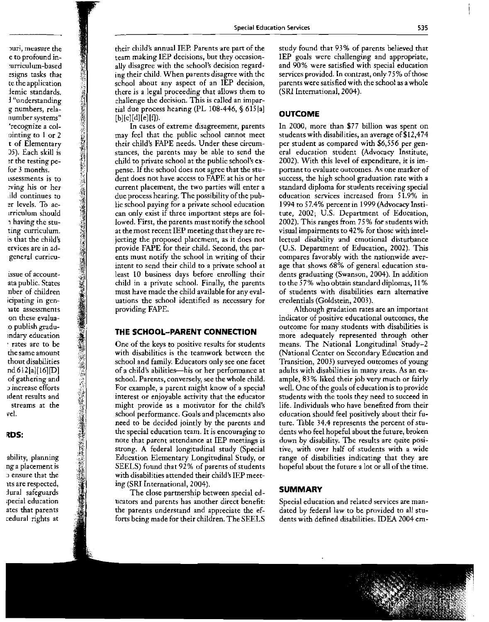puri, measure the e to profound in- ,urriculum-based esigns tasks that te the application iemic standards. **l** "understanding g numbers, relanumber systems" 'recognize a colointing to 1 or 2 t of Elementary 35). Each skill is :I the testing pefor 3 months. lssessments is to wing his or her .ild continues to sr levels. To ac- ~rriculum should **1** having the stuting curriculum. is that the child's ervices are in adgeneral curricu-

機能のないか、これにはなくなっていた。それは、それは、それは、それは、これは、おおいかでも、それは、そのようなのか、ありのようなのか、それは、それは、そのようなのか、そのようなのか、そのようなのか、そ こうしょう こうしょう こうしょう こうしょう こうしょう こうしょう こうしょう こうしょう こうしょう

**「そのこの時間の「おおかな」ということに、このことが、このことが、このことを見ることに、このことが、このことが、このことが、このことに、このことが、このことが、このことが、このことが、このことが、このことが、このことに、このことが、このことが、このことが、このことが、このことが、このことが、このことが、このことが、このことが、このことが、このことが、このことが、このことが、このことが、このことが、このことが、このことが、このことが、こ** 

issue of accountata public. States nber of children icipating in genlate assessments on these evaluao publish gradu- ~ndary education rates are to be the same amount thout disabilities nd612[a][16][D] of gathering and **<sup>2</sup>**increase efforts ldent results and streams at the vel.

#### **RDS:**

ability, planning nga placement is *2* ensure that the ~ts are respected, dural safeguards ;pccial education ates that parents cedural rights at

their child's annual IEP. Parents are part of the team making IEP decisions, but they occasionally disagree with the school's decision regarding their child. When parents disagree with the school about any aspect of an IEP decision, there is a legal proceeding that allows them to challenge the decision. This is called an impartial due process hearing (PL 108-446,  $$615[a]$  $[b][c][d][e][f].$ 

In cases of extreme disagreement, parents may feel that the public school cannot meet their child's FAPE needs. Under these circumstances, the parents may be able to send the child to private school at the public school's expense. If the school does not agree that the student does not have access to FAPE at his or her current placement, the two parties will enter a due process hearing. The possibility of the public school paying for a private school education can only exist if three important steps are followed. First, the parents must notify the school at the most recent IEP meeting that they are rejecting the proposed placcment, as it does not provide FAPE for their child. Second, the parents must notify the school in writing of their intent to send their child to a private school at least 10 business days before enrolling their child in a private school. Finally, the parents must have made the child available for any evaluations the school identified as necessary for providing FAPE.

#### **THE SCHOOL-PARENT CONNECTION**

One of the keys to positive results for students with disabilities is the teamwork between the school and family. Educators only see one facet of a child's abilities-his or her performance at school. Parents, conversely, see the whole child. For example, a parent might know of a special interest or enjoyable activity that the educator might provide as a motivator for the child's school performance. Goals and placements also need to be decided jointly by the parents and the special education team. It is encouraging to note that parent attendance at IEP meetings is strong. A federal longitudinal study (Special Education Elementary Longitudinal Study, or SEELS) found that 92% of parents of students with disabilities attended their child's IEP meeting (SRI International, 2004).

The close partnership hetween special educators and parents has another direct benefit: the parents understand and appreciate the efforts being made for their children. The SEELS study found that 93% of parents believed that IEP goals were challenging and appropriate, and 90% were satisfied with special education services provided. In contrast, only 75% of those parents were satisfied with the school as a whole (SRI International, 2004).

### **OUTCOME**

In 2000, more than \$77 billion was spent on students with disabilities, an avenge of \$12,474 per student as compared with \$6,556 per general education student (Advocacy Institute, 2002). With this level of expenditure, it is important to evaluate outcomes. As one marker of success, the high school graduation rate with a standard diploma for students receiving special education services increased from 51.9% in 1994 to 57.4% percentin 1999 (AdvocacyInstitute, 2002; U.S. Department of Education, 2002). This ranges from 75% for students with visual impairments to 42% for those with intellectual disability and emotional disturbance (U.S. Department of Education, 2002). This compares favorably with the nationwide average that shows 68% of general education students graduating (Swanson, 2004). In addition to the 57% who obtain standard diplomas, 11% of students with disabilities earn alternative credentials (Goldstein, 2003).

Although gradation rates are an important indicator of positive educational outcomes, the outcome for many students with disabilities is more adequately represented through other means. The National Longitudinal Study-2 (National Center on Secondary Education and Transition, 2003) surveyed outcomes of young adults with disabilities in many areas. As an example, 83% liked their job very much or fairly well. One of the goals of education is to provide students with the tools they need to succeed in life. Individuals who have benefited from their education should feel positively about their future. Table 34.4 represents the percent of students who feel hopeful about the future, broken down by disability. The results are quite positive, with over half of students with a wide range of disabilities indicating that they are hopeful about the future a lot or all of the time.

#### **SUMMARY**

Special education and related services are mandated by federal law to be provided to all students with defined disabilities. IDEA 2004 em-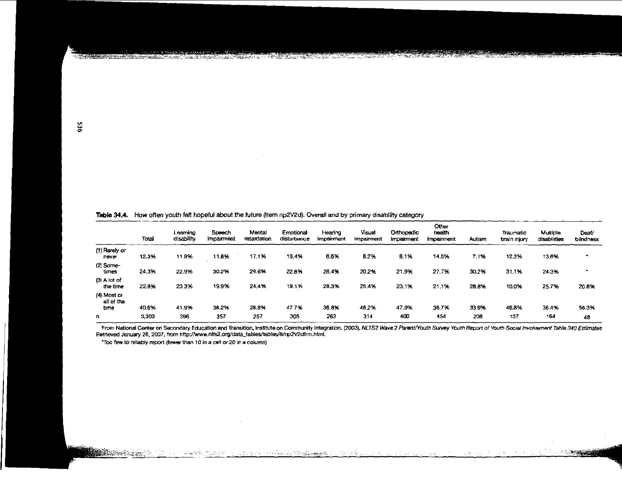|                                     | Total | Learning<br>disability | Speech<br>imparment | Mental<br>retardation | Emotional<br>disturbance | Hearing<br>Impairment | Visual<br>Impairment | Orthopedic<br>Impairment | Other<br>health<br>Impairment | Autism | Traumatic<br>brain injury | Multiple<br>disabilities | Deat/<br>blindness |
|-------------------------------------|-------|------------------------|---------------------|-----------------------|--------------------------|-----------------------|----------------------|--------------------------|-------------------------------|--------|---------------------------|--------------------------|--------------------|
| (1) Rarely or<br>never              | 12.3% | 11.9%                  | 11.8%               | 17.1%                 | 10.4%                    | 6.6%                  | 8.2%                 | 8.1%                     | 14.5%                         | 7.1%   | 12.2%                     | 13.6%                    |                    |
| $(2)$ Some-<br>times                | 24.3% | 22.9%                  | 30.2%               | 29.6%                 | 22.8%                    | 28.4%                 | 20.2%                | 21,9%                    | 27.7%                         | 30.2%  | 31.1%                     | 24.3%                    | ٠                  |
| $(3)$ A lot of<br>the time          | 22.8% | 23.3%                  | 19.9%               | 24.4%                 | 19.1%                    | 28.3%                 | 25.4%                | 23.1%                    | 21.1%                         | 28.8%  | 10.0%                     | 25.7%                    | 20.8%              |
| $(4)$ Most or<br>all of the<br>time | 40.6% | 41.9%                  | 38.2%               | 28.8%                 | 47.7%                    | 36.8%                 | 46.2%                | 47.0%                    | 36.7%                         | 33.9%  | 46.8%                     | 36.4%                    | 56.3%              |
| n.                                  | 3,303 | 396                    | 357                 | 257                   | 305                      | 263                   | 314                  | 400                      | 454                           | 208    | 137                       | 164                      | 48                 |

Table 34.4. How often youth felt hopeful about the future (Item np2V2d): Overall and by primary disability category

<u> 1975 - Johann Marie Marie Marie Marie Marie Marie Marie Marie Marie Marie Marie Marie Marie Marie Marie Mari</u>

From National Center on Secondary Education and Transition, Institute on Community Integration. (2003). NLTS2 Wave 2 Parent/Youth Survey Youth Report of Youth Social Involvement Table 340 Estimates

"Too few to reliably report (fewer than 10 in a cell or 20 in a column)

a na matsaya na katika 2008. Ang katika ng matatagpang matatagpang matatagpang matatagpang matatagpang matatagpang  $\sim 90\%$  (  $\sim 10^{11}$ *CONTRACTOR* **RANGAL BAR 不要失敗 (色) しゃ**  $\sim 10$  $\sim 100$  $\sigma \rightarrow -\sigma$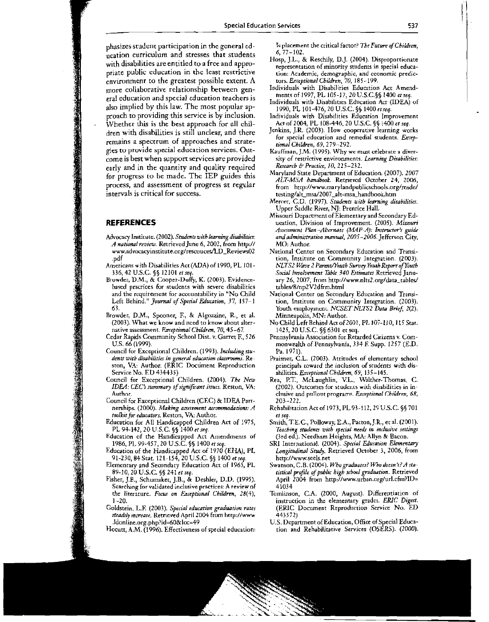phasizes student participation in the general education curriculum and stresses that students with disabilities are entitled to a free and appropriate public education in the least restrictive environment to the greatest possible extent. A more collaborative relationship between general education and special education teachers is also implied by this law. The most popular approach to providing this service is by inclusion. Whether this is the best approach for all children with disabilities is still unclear, and there remains a spectrum of approaches and strategies to provide special education services. Outcome is best when support services are provided early and in the quantity and quality required for progress to be made. The IEP guides this process, and assessment of progress at regular intervals is critical for success.

#### **REFERENCES**

- Advocacy Institute. (2002). Students with learning disabilities: A national review. Retrieved June 6, 2002, from http:// www.advocacyinstitute.org/rescouces/LD\_Reviews02 .pdf
- Americans with Disabilities Act (ADA) of 1990, PL 101-336, 42 U.S.C. §§ 12101 et seq.
- Browder, D.M., & Cooper-Duffy, K. (2003). Evidencebased practices for students with severe disabilities and the requirement for accountability in "No Child Left Behind." Journal of Special Education, 37, 157-1 63.
- Browder, D.M., Spooner, F., & Algozzine, R., et al. (2003). What we know and need to know about alternative assessment. Exceptional Children, 70, 45-67.
- Cedar Rapids Community School Dist. v. Garret F., 526 U.S. 66 (1999)
- Council for Exceptional Children. (1993). Including students with disabilities in general education classrooms. Reston, VA: Author. (ERIC Document Reproduction Service No. ED 434435)
- Council for Exceptional Children. (2004). The New IDEA: CEC's summary of significant issues. Reston, VA: Author.
- Council for Exceptional Children (CEC) & IDEA Partnerships. (2000). Making assessment accommodations: A toolkit for educators. Reston, VA: Author.
- Education for All Handicapped Children Act of 1975, PL 94-142, 20 U.S.C. §§ 1400 et seq
- Education of the Handicapped Act Amendments of 1986, PL 99-457, 20 U.S.C. §§ 1400 et seq.
- Education of the Handicapped Act of 1970 (EHA), PL 91-230, 84 Stat. 121-154, 20 U.S.C. §§ 1400 et seq.
- Elementary and Secondary Education Act of 1965, PL 89-10, 20 U.S.C. §§ 241 et seq
- Fisher, J.B., Schumaket, J.B., & Deshler, D.D. (1995). Scarching for validated inclusive practices: A review of the literature. Focus on Exceptional Children, 28(4),
- Goldstein, L.F. (2003). Special education graduation rates steadily increase. Retrieved April 2004 from http://www .ldonline.org.php?id=60&loc=49

Hocutt, A.M. (1996). Effectiveness of special education:

Is placement the critical factor? The Future of Children,  $6, 77 - 102.$ 

- Hosp, J.L., & Reschily, D.J. (2004). Disproportionate representation of minority students in special education: Academic, demographic, and economic predictors. Exceptional Children, 70, 185-199.
- Individuals with Disabiliries Education Act Amendments of 1997, PL 105-17, 20 U.S.C. §§ 1400 et seq.
- Individuals with Disabilities Education Act (IDEA) of 1990, PL 101-476, 20 U.S.C. §§ 1400 et seq.
- Individuals with Disabilities Education Improvement Act of 2004, PL 108-446, 20 U.S.C. §§ 1400 et seq.
- Jenkins, J.R. (2003). How cooperative learning works for special education and remedial students. Exceptional Children, 69, 279-292.
- Kauffman, J.M. (1995). Why we must celebrate a diversity of restrictive environments. Learning Disabilities: Research & Practice, 10, 225-232.
- Maryland State Department of Education. (2007). 2007 ALT-MSA handbook. Retrieved October 24, 2006, from http://www.marylandpublicschools.org/msde/ testing/alt\_msa/2007\_alt-msa\_handbook.htm
- Mercer, C.D. (1997). Students with learning disabilities. Upper Saddle River, NJ: Prenrice Hall.
- Missouri Department of Elementary and Secondary Edueation, Division of Improvement. (2005). Missouri Assessment Plan-Alternate (MAP-A): Instructor's guide and administration manual, 2005-2006. Jefferson City, MO: Author.
- National Center on Secondary Education and Transition, Institute on Community Integration. (2003). NLTS2 Wave 2 Parent/Youth Survey Youth Report of Youth Social Involvement Table 340 Estimates Retrieved January 26, 2007, from http://www.nlts2.org/data\_tables/ tables/8/np2V2dfrm.html
- National Center on Secondary Education and Transition, Institute on Community Integration. (2003). Youth employment. NCSET NLTS2 Data Brief, 2(2). Minneapolis, MN: Author.
- No Child Left Behind Act of 2001, PL 107-110, 115 Stat. 1425, 20 U.S.C. §§ 6301 et seq.
- Pennsylvania Association for Retarded Cirizens v. Commonwealth of Pennsylvania, 334 F. Supp. 1257 (E.D. Pa. 1971).
- Praisner, C.L. (2003). Attitudes of elementary school principals toward the inclusion of students with disahilities. Exceptional Children, 69, 135-145.
- Rea, P.T., McLaughlin, V.L., Walther-Thomas, C. (2002). Outcomes for students with disabilities in inclusive and pullout programs. Exceptional Children, 68, 203-222.
- Rehabilitation Act of 1973, PL 93-112, 29 U.S.C. §§ 701 et seq.
- Smith, T.E.C., Polloway, E.A., Patton, J.R., et al. (2001). Teaching students with special needs in inclusive settings (3rd ed.). Needham Heights, MA: Allyn & Bacon.
- SRI International. (2004). Special Education Elementary Longitudinal Study. Retrieved October 3, 2006, from http://www.seels.net
- Swanson, C.B. (2004). Who graduates? Who doesn't? A statistical profile of public high school graduation. Retrieved April 2004 from http://www.urban.org/url.cfm?ID= 41034
- Tomlinson, C.A. (2000, August). Differentiation of instruction in the elementary grades. ERIC Digest. (ERIC Document Reproduction Service No. ED 443572)
- U.S. Department of Education, Office of Special Education and Rehabilitative Services (OSERS). (2000).